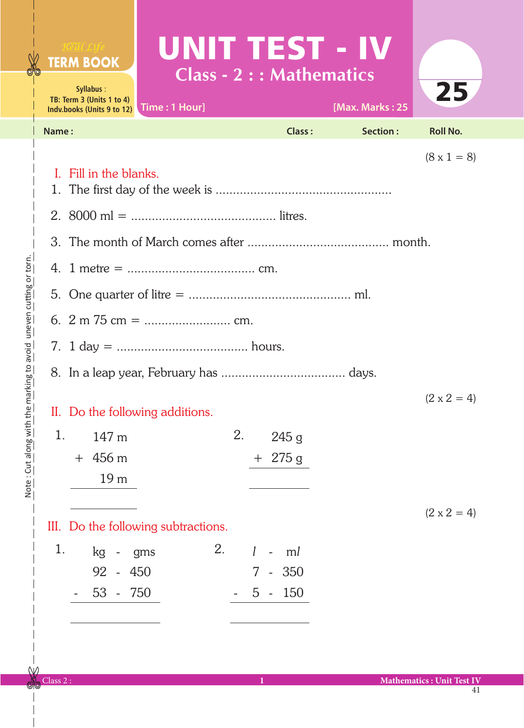| Real Life<br><b>TERM BOOK</b><br>Syllabus:<br>TB: Term 3 (Units 1 to 4)<br>Indv.books (Units 9 to 12) | Time: 1 Hour] |    | UNIT TEST - IV<br><b>Class - 2 : : Mathematics</b> | [Max. Marks: 25 | 25                 |  |
|-------------------------------------------------------------------------------------------------------|---------------|----|----------------------------------------------------|-----------------|--------------------|--|
| Name:                                                                                                 |               |    | Class:                                             | <b>Section:</b> | <b>Roll No.</b>    |  |
| Fill in the blanks.<br>L                                                                              |               |    |                                                    |                 | $(8 \times 1 = 8)$ |  |
|                                                                                                       |               |    |                                                    |                 |                    |  |
|                                                                                                       |               |    |                                                    |                 |                    |  |
|                                                                                                       |               |    |                                                    |                 |                    |  |
|                                                                                                       |               |    |                                                    |                 |                    |  |
|                                                                                                       |               |    |                                                    |                 |                    |  |
|                                                                                                       |               |    |                                                    |                 |                    |  |
|                                                                                                       |               |    |                                                    |                 |                    |  |
|                                                                                                       |               |    |                                                    |                 | $(2 \times 2 = 4)$ |  |
| II. Do the following additions.                                                                       |               |    |                                                    |                 |                    |  |
| 1.<br>147 m                                                                                           |               | 2. | 245g                                               |                 |                    |  |
| $+456 \text{ m}$                                                                                      |               |    | $+275g$                                            |                 |                    |  |
| 19 <sub>m</sub>                                                                                       |               |    |                                                    |                 |                    |  |
| III. Do the following subtractions.                                                                   |               |    |                                                    |                 | $(2 \times 2 = 4)$ |  |
| 1.<br>kg<br>$\overline{\phantom{a}}$                                                                  | 2.<br>gms     |    | $\mathcal{I}$<br>ml<br>$\equiv$                    |                 |                    |  |
| 92<br>$-450$                                                                                          |               |    | $-350$<br>7 <sup>1</sup>                           |                 |                    |  |

 $5 - 150$ 

ı

- 53 - 750